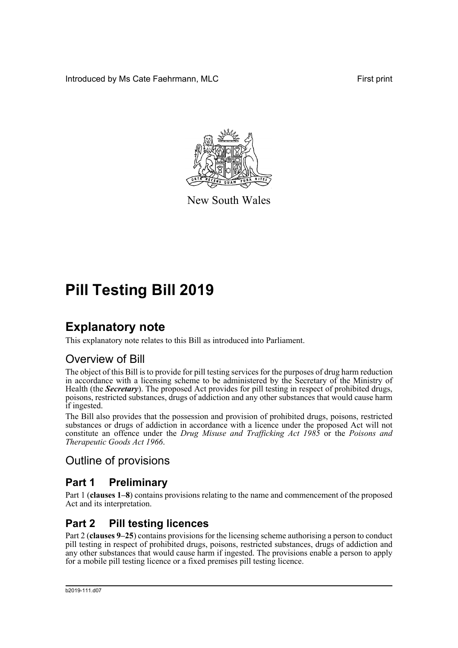Introduced by Ms Cate Faehrmann, MLC **First print** First print



New South Wales

# **Pill Testing Bill 2019**

# **Explanatory note**

This explanatory note relates to this Bill as introduced into Parliament.

# Overview of Bill

The object of this Bill is to provide for pill testing services for the purposes of drug harm reduction in accordance with a licensing scheme to be administered by the Secretary of the Ministry of Health (the *Secretary*). The proposed Act provides for pill testing in respect of prohibited drugs, poisons, restricted substances, drugs of addiction and any other substances that would cause harm if ingested.

The Bill also provides that the possession and provision of prohibited drugs, poisons, restricted substances or drugs of addiction in accordance with a licence under the proposed Act will not constitute an offence under the *Drug Misuse and Trafficking Act 1985* or the *Poisons and Therapeutic Goods Act 1966*.

## Outline of provisions

## **Part 1 Preliminary**

Part 1 (**clauses 1–8**) contains provisions relating to the name and commencement of the proposed Act and its interpretation.

# **Part 2 Pill testing licences**

Part 2 (**clauses 9–25**) contains provisions for the licensing scheme authorising a person to conduct pill testing in respect of prohibited drugs, poisons, restricted substances, drugs of addiction and any other substances that would cause harm if ingested. The provisions enable a person to apply for a mobile pill testing licence or a fixed premises pill testing licence.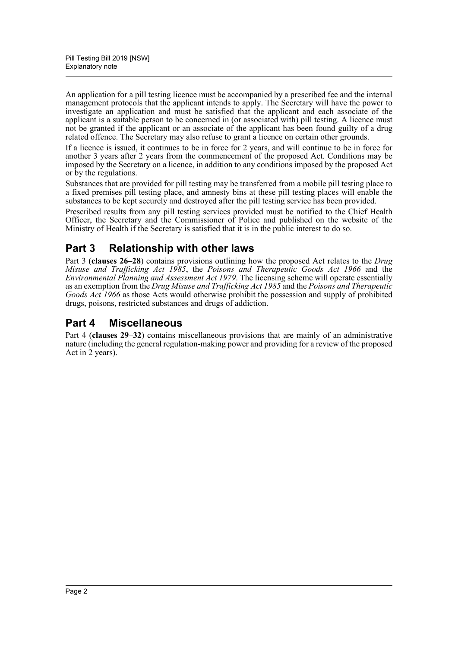An application for a pill testing licence must be accompanied by a prescribed fee and the internal management protocols that the applicant intends to apply. The Secretary will have the power to investigate an application and must be satisfied that the applicant and each associate of the applicant is a suitable person to be concerned in (or associated with) pill testing. A licence must not be granted if the applicant or an associate of the applicant has been found guilty of a drug related offence. The Secretary may also refuse to grant a licence on certain other grounds.

If a licence is issued, it continues to be in force for 2 years, and will continue to be in force for another 3 years after 2 years from the commencement of the proposed Act. Conditions may be imposed by the Secretary on a licence, in addition to any conditions imposed by the proposed Act or by the regulations.

Substances that are provided for pill testing may be transferred from a mobile pill testing place to a fixed premises pill testing place, and amnesty bins at these pill testing places will enable the substances to be kept securely and destroyed after the pill testing service has been provided.

Prescribed results from any pill testing services provided must be notified to the Chief Health Officer, the Secretary and the Commissioner of Police and published on the website of the Ministry of Health if the Secretary is satisfied that it is in the public interest to do so.

# **Part 3 Relationship with other laws**

Part 3 (**clauses 26–28**) contains provisions outlining how the proposed Act relates to the *Drug Misuse and Trafficking Act 1985*, the *Poisons and Therapeutic Goods Act 1966* and the *Environmental Planning and Assessment Act 1979*. The licensing scheme will operate essentially as an exemption from the *Drug Misuse and Trafficking Act 1985* and the *Poisons and Therapeutic Goods Act 1966* as those Acts would otherwise prohibit the possession and supply of prohibited drugs, poisons, restricted substances and drugs of addiction.

## **Part 4 Miscellaneous**

Part 4 (**clauses 29–32**) contains miscellaneous provisions that are mainly of an administrative nature (including the general regulation-making power and providing for a review of the proposed Act in 2 years).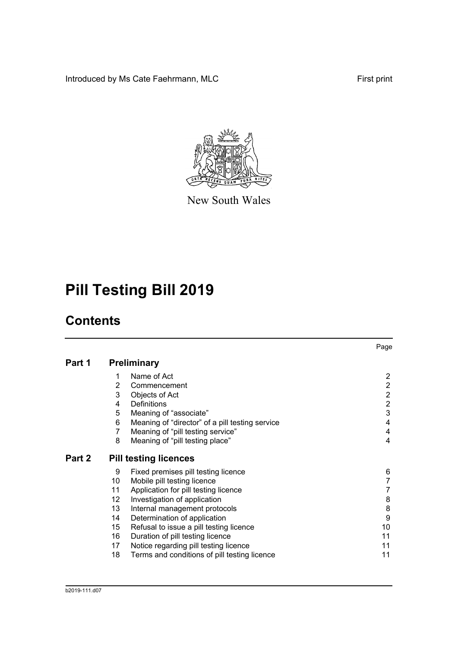Introduced by Ms Cate Faehrmann, MLC First print



New South Wales

# **Pill Testing Bill 2019**

# **Contents**

|        |                |                                                 | Page           |
|--------|----------------|-------------------------------------------------|----------------|
| Part 1 |                | <b>Preliminary</b>                              |                |
|        | 1              | Name of Act                                     | 2              |
|        | $\overline{2}$ | Commencement                                    | 2              |
|        | 3              | Objects of Act                                  | 2              |
|        | 4              | <b>Definitions</b>                              | $\overline{2}$ |
|        | 5              | Meaning of "associate"                          | 3              |
|        | 6              | Meaning of "director" of a pill testing service | 4              |
|        | 7              | Meaning of "pill testing service"               | 4              |
|        | 8              | Meaning of "pill testing place"                 | 4              |
| Part 2 |                | <b>Pill testing licences</b>                    |                |
|        | 9              | Fixed premises pill testing licence             | 6              |
|        | 10             | Mobile pill testing licence                     |                |
|        | 11             | Application for pill testing licence            |                |
|        | 12             | Investigation of application                    | 8              |
|        | 13             | Internal management protocols                   | 8              |
|        | 14             | Determination of application                    | 9              |
|        | 15             | Refusal to issue a pill testing licence         | 10             |
|        | 16             | Duration of pill testing licence                | 11             |
|        | 17             | Notice regarding pill testing licence           | 11             |
|        | 18             | Terms and conditions of pill testing licence    | 11             |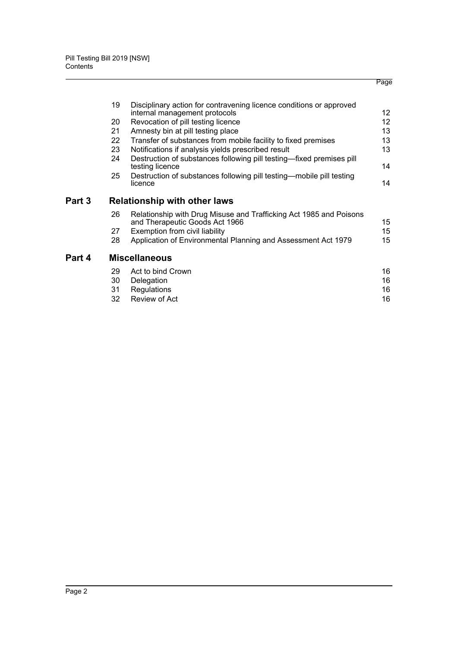|        |                 |                                                                                                      | Page |
|--------|-----------------|------------------------------------------------------------------------------------------------------|------|
|        | 19              | Disciplinary action for contravening licence conditions or approved                                  |      |
|        |                 | internal management protocols                                                                        | 12   |
|        | 20              | Revocation of pill testing licence                                                                   | 12   |
|        | 21              | Amnesty bin at pill testing place                                                                    | 13   |
|        | 22 <sub>2</sub> | Transfer of substances from mobile facility to fixed premises                                        | 13   |
|        | 23              | Notifications if analysis yields prescribed result                                                   | 13   |
|        | 24              | Destruction of substances following pill testing-fixed premises pill<br>testing licence              | 14   |
|        | 25              | Destruction of substances following pill testing—mobile pill testing<br>licence                      | 14   |
| Part 3 |                 | <b>Relationship with other laws</b>                                                                  |      |
|        | 26              | Relationship with Drug Misuse and Trafficking Act 1985 and Poisons<br>and Therapeutic Goods Act 1966 | 15   |
|        | 27              | Exemption from civil liability                                                                       | 15   |
|        | 28              | Application of Environmental Planning and Assessment Act 1979                                        | 15   |
| Part 4 |                 | <b>Miscellaneous</b>                                                                                 |      |
|        | 29              | Act to bind Crown                                                                                    | 16   |
|        | 30              | Delegation                                                                                           | 16   |
|        | 31              | Regulations                                                                                          | 16   |
|        | 32              | Review of Act                                                                                        | 16   |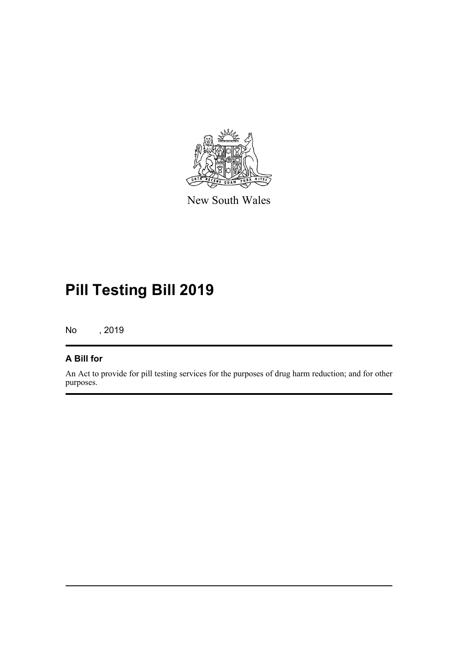

New South Wales

# **Pill Testing Bill 2019**

No , 2019

## **A Bill for**

An Act to provide for pill testing services for the purposes of drug harm reduction; and for other purposes.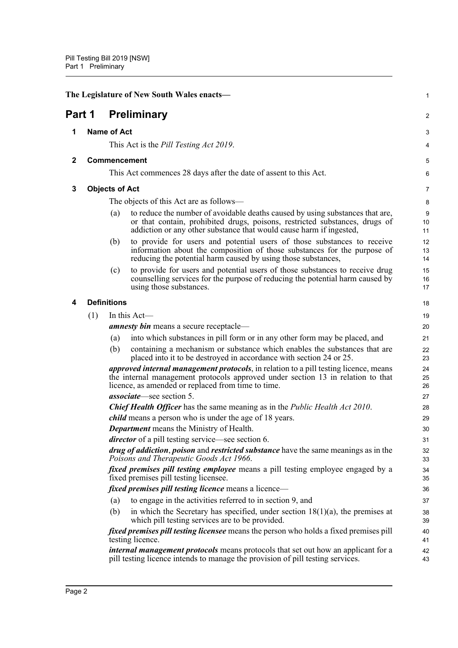<span id="page-5-4"></span><span id="page-5-3"></span><span id="page-5-2"></span><span id="page-5-1"></span><span id="page-5-0"></span>

| The Legislature of New South Wales enacts- |                       |     |                                                                                                                                                                                                                                       | 1              |
|--------------------------------------------|-----------------------|-----|---------------------------------------------------------------------------------------------------------------------------------------------------------------------------------------------------------------------------------------|----------------|
| Part 1                                     |                       |     | <b>Preliminary</b>                                                                                                                                                                                                                    | $\overline{c}$ |
| 1                                          | <b>Name of Act</b>    |     |                                                                                                                                                                                                                                       | 3              |
|                                            |                       |     | This Act is the <i>Pill Testing Act 2019</i> .                                                                                                                                                                                        | 4              |
| $\mathbf{2}$                               |                       |     | Commencement                                                                                                                                                                                                                          | 5              |
|                                            |                       |     | This Act commences 28 days after the date of assent to this Act.                                                                                                                                                                      | 6              |
| 3                                          | <b>Objects of Act</b> |     |                                                                                                                                                                                                                                       | 7              |
|                                            |                       |     | The objects of this Act are as follows—                                                                                                                                                                                               | 8              |
|                                            |                       | (a) | to reduce the number of avoidable deaths caused by using substances that are,<br>or that contain, prohibited drugs, poisons, restricted substances, drugs of<br>addiction or any other substance that would cause harm if ingested,   | 9<br>10<br>11  |
|                                            |                       | (b) | to provide for users and potential users of those substances to receive<br>information about the composition of those substances for the purpose of<br>reducing the potential harm caused by using those substances,                  | 12<br>13<br>14 |
|                                            |                       | (c) | to provide for users and potential users of those substances to receive drug<br>counselling services for the purpose of reducing the potential harm caused by<br>using those substances.                                              | 15<br>16<br>17 |
| 4                                          | <b>Definitions</b>    |     |                                                                                                                                                                                                                                       | 18             |
|                                            | (1)                   |     | In this Act-                                                                                                                                                                                                                          | 19             |
|                                            |                       |     | <b>amnesty bin</b> means a secure receptacle—                                                                                                                                                                                         | 20             |
|                                            |                       | (a) | into which substances in pill form or in any other form may be placed, and                                                                                                                                                            | 21             |
|                                            |                       | (b) | containing a mechanism or substance which enables the substances that are<br>placed into it to be destroyed in accordance with section 24 or 25.                                                                                      | 22<br>23       |
|                                            |                       |     | <i>approved internal management protocols</i> , in relation to a pill testing licence, means<br>the internal management protocols approved under section 13 in relation to that<br>licence, as amended or replaced from time to time. | 24<br>25<br>26 |
|                                            |                       |     | <i>associate</i> —see section 5.                                                                                                                                                                                                      | 27             |
|                                            |                       |     | <b>Chief Health Officer</b> has the same meaning as in the Public Health Act 2010.                                                                                                                                                    | 28             |
|                                            |                       |     | <i>child</i> means a person who is under the age of 18 years.                                                                                                                                                                         | 29             |
|                                            |                       |     | <b>Department</b> means the Ministry of Health.                                                                                                                                                                                       | 30             |
|                                            |                       |     | <i>director</i> of a pill testing service—see section 6.                                                                                                                                                                              | 31             |
|                                            |                       |     | <i>drug of addiction, poison</i> and <i>restricted substance</i> have the same meanings as in the<br>Poisons and Therapeutic Goods Act 1966.                                                                                          | 32<br>33       |
|                                            |                       |     | <i>fixed premises pill testing employee</i> means a pill testing employee engaged by a<br>fixed premises pill testing licensee.                                                                                                       | 34<br>35       |
|                                            |                       |     | <i>fixed premises pill testing licence</i> means a licence—                                                                                                                                                                           | 36             |
|                                            |                       | (a) | to engage in the activities referred to in section 9, and                                                                                                                                                                             | 37             |
|                                            |                       | (b) | in which the Secretary has specified, under section $18(1)(a)$ , the premises at<br>which pill testing services are to be provided.                                                                                                   | 38<br>39       |
|                                            |                       |     | <i>fixed premises pill testing licensee</i> means the person who holds a fixed premises pill<br>testing licence.                                                                                                                      | 40<br>41       |
|                                            |                       |     | <i>internal management protocols</i> means protocols that set out how an applicant for a<br>pill testing licence intends to manage the provision of pill testing services.                                                            | 42<br>43       |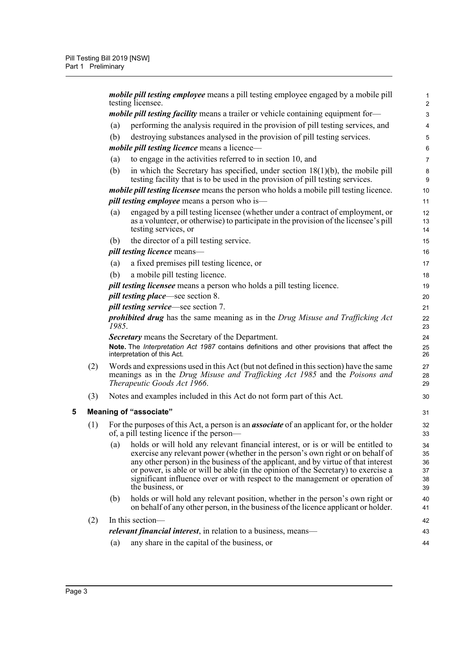<span id="page-6-0"></span>

|   |     |       | <i>mobile pill testing employee</i> means a pill testing employee engaged by a mobile pill<br>testing licensee.                                                                                                                                                                                                                                                                                                                                   | $\mathbf 1$<br>$\mathbf 2$       |
|---|-----|-------|---------------------------------------------------------------------------------------------------------------------------------------------------------------------------------------------------------------------------------------------------------------------------------------------------------------------------------------------------------------------------------------------------------------------------------------------------|----------------------------------|
|   |     |       | <i>mobile pill testing facility</i> means a trailer or vehicle containing equipment for-                                                                                                                                                                                                                                                                                                                                                          | $\ensuremath{\mathsf{3}}$        |
|   |     | (a)   | performing the analysis required in the provision of pill testing services, and                                                                                                                                                                                                                                                                                                                                                                   | $\overline{\mathbf{4}}$          |
|   |     | (b)   | destroying substances analysed in the provision of pill testing services.                                                                                                                                                                                                                                                                                                                                                                         | 5                                |
|   |     |       | mobile pill testing licence means a licence-                                                                                                                                                                                                                                                                                                                                                                                                      | 6                                |
|   |     | (a)   | to engage in the activities referred to in section 10, and                                                                                                                                                                                                                                                                                                                                                                                        | $\overline{7}$                   |
|   |     | (b)   | in which the Secretary has specified, under section $18(1)(b)$ , the mobile pill<br>testing facility that is to be used in the provision of pill testing services.                                                                                                                                                                                                                                                                                | 8<br>9                           |
|   |     |       | <i>mobile pill testing licensee</i> means the person who holds a mobile pill testing licence.                                                                                                                                                                                                                                                                                                                                                     | 10                               |
|   |     |       | <i>pill testing employee</i> means a person who is—                                                                                                                                                                                                                                                                                                                                                                                               | 11                               |
|   |     | (a)   | engaged by a pill testing licensee (whether under a contract of employment, or<br>as a volunteer, or otherwise) to participate in the provision of the licensee's pill<br>testing services, or                                                                                                                                                                                                                                                    | 12<br>13<br>14                   |
|   |     | (b)   | the director of a pill testing service.                                                                                                                                                                                                                                                                                                                                                                                                           | 15                               |
|   |     |       | <i>pill testing licence</i> means-                                                                                                                                                                                                                                                                                                                                                                                                                | 16                               |
|   |     | (a)   | a fixed premises pill testing licence, or                                                                                                                                                                                                                                                                                                                                                                                                         | 17                               |
|   |     | (b)   | a mobile pill testing licence.                                                                                                                                                                                                                                                                                                                                                                                                                    | 18                               |
|   |     |       | <i>pill testing licensee</i> means a person who holds a pill testing licence.                                                                                                                                                                                                                                                                                                                                                                     | 19                               |
|   |     |       | <i>pill testing place</i> —see section 8.                                                                                                                                                                                                                                                                                                                                                                                                         | 20                               |
|   |     |       | <i>pill testing service</i> —see section 7.                                                                                                                                                                                                                                                                                                                                                                                                       | 21                               |
|   |     | 1985. | <b>prohibited drug</b> has the same meaning as in the Drug Misuse and Trafficking Act                                                                                                                                                                                                                                                                                                                                                             | 22<br>23                         |
|   |     |       | <b>Secretary</b> means the Secretary of the Department.                                                                                                                                                                                                                                                                                                                                                                                           | 24                               |
|   |     |       | Note. The Interpretation Act 1987 contains definitions and other provisions that affect the<br>interpretation of this Act.                                                                                                                                                                                                                                                                                                                        | 25<br>26                         |
|   | (2) |       | Words and expressions used in this Act (but not defined in this section) have the same<br>meanings as in the Drug Misuse and Trafficking Act 1985 and the Poisons and<br>Therapeutic Goods Act 1966.                                                                                                                                                                                                                                              | 27<br>28<br>29                   |
|   | (3) |       | Notes and examples included in this Act do not form part of this Act.                                                                                                                                                                                                                                                                                                                                                                             | 30                               |
| 5 |     |       | <b>Meaning of "associate"</b>                                                                                                                                                                                                                                                                                                                                                                                                                     | 31                               |
|   | (1) |       | For the purposes of this Act, a person is an <i>associate</i> of an applicant for, or the holder<br>of, a pill testing licence if the person—                                                                                                                                                                                                                                                                                                     | 32<br>33                         |
|   |     | (a)   | holds or will hold any relevant financial interest, or is or will be entitled to<br>exercise any relevant power (whether in the person's own right or on behalf of<br>any other person) in the business of the applicant, and by virtue of that interest<br>or power, is able or will be able (in the opinion of the Secretary) to exercise a<br>significant influence over or with respect to the management or operation of<br>the business, or | 34<br>35<br>36<br>37<br>38<br>39 |
|   |     | (b)   | holds or will hold any relevant position, whether in the person's own right or<br>on behalf of any other person, in the business of the licence applicant or holder.                                                                                                                                                                                                                                                                              | 40<br>41                         |
|   | (2) |       | In this section-                                                                                                                                                                                                                                                                                                                                                                                                                                  | 42                               |
|   |     |       | <i>relevant financial interest</i> , in relation to a business, means—                                                                                                                                                                                                                                                                                                                                                                            | 43                               |
|   |     | (a)   | any share in the capital of the business, or                                                                                                                                                                                                                                                                                                                                                                                                      | 44                               |
|   |     |       |                                                                                                                                                                                                                                                                                                                                                                                                                                                   |                                  |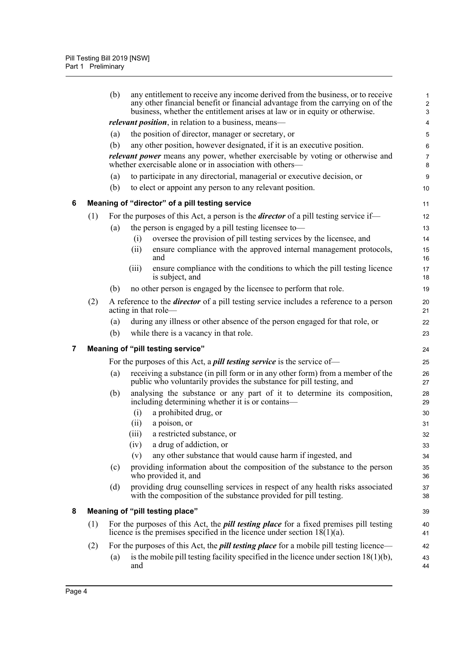<span id="page-7-2"></span><span id="page-7-1"></span><span id="page-7-0"></span>

|   |     | (b) | any entitlement to receive any income derived from the business, or to receive<br>any other financial benefit or financial advantage from the carrying on of the<br>business, whether the entitlement arises at law or in equity or otherwise. | $\mathbf{1}$<br>$\overline{c}$<br>3 |
|---|-----|-----|------------------------------------------------------------------------------------------------------------------------------------------------------------------------------------------------------------------------------------------------|-------------------------------------|
|   |     |     | <i>relevant position</i> , in relation to a business, means—                                                                                                                                                                                   | 4                                   |
|   |     | (a) | the position of director, manager or secretary, or                                                                                                                                                                                             | $\mathbf 5$                         |
|   |     | (b) | any other position, however designated, if it is an executive position.                                                                                                                                                                        | 6                                   |
|   |     |     | relevant power means any power, whether exercisable by voting or otherwise and<br>whether exercisable alone or in association with others-                                                                                                     | $\overline{7}$<br>8                 |
|   |     | (a) | to participate in any directorial, managerial or executive decision, or                                                                                                                                                                        | 9                                   |
|   |     | (b) | to elect or appoint any person to any relevant position.                                                                                                                                                                                       | 10                                  |
| 6 |     |     | Meaning of "director" of a pill testing service                                                                                                                                                                                                | 11                                  |
|   | (1) |     | For the purposes of this Act, a person is the <i>director</i> of a pill testing service if—                                                                                                                                                    | 12                                  |
|   |     | (a) | the person is engaged by a pill testing licensee to-                                                                                                                                                                                           | 13                                  |
|   |     |     | oversee the provision of pill testing services by the licensee, and<br>(i)                                                                                                                                                                     | 14                                  |
|   |     |     | ensure compliance with the approved internal management protocols,<br>(ii)<br>and                                                                                                                                                              | 15<br>16                            |
|   |     |     | ensure compliance with the conditions to which the pill testing licence<br>(iii)<br>is subject, and                                                                                                                                            | 17<br>18                            |
|   |     | (b) | no other person is engaged by the licensee to perform that role.                                                                                                                                                                               | 19                                  |
|   | (2) |     | A reference to the <i>director</i> of a pill testing service includes a reference to a person<br>acting in that role—                                                                                                                          | 20<br>21                            |
|   |     | (a) | during any illness or other absence of the person engaged for that role, or                                                                                                                                                                    | 22                                  |
|   |     | (b) | while there is a vacancy in that role.                                                                                                                                                                                                         | 23                                  |
| 7 |     |     | Meaning of "pill testing service"                                                                                                                                                                                                              | 24                                  |
|   |     |     | For the purposes of this Act, a <b><i>pill testing service</i></b> is the service of—                                                                                                                                                          | 25                                  |
|   |     | (a) | receiving a substance (in pill form or in any other form) from a member of the<br>public who voluntarily provides the substance for pill testing, and                                                                                          | 26<br>27                            |
|   |     | (b) | analysing the substance or any part of it to determine its composition,<br>including determining whether it is or contains—                                                                                                                    | 28<br>29                            |
|   |     |     | a prohibited drug, or<br>(i)                                                                                                                                                                                                                   | 30                                  |
|   |     |     | a poison, or<br>(ii)                                                                                                                                                                                                                           | 31                                  |
|   |     |     | (iii)<br>a restricted substance, or                                                                                                                                                                                                            | 32                                  |
|   |     |     | a drug of addiction, or<br>(iv)                                                                                                                                                                                                                | 33                                  |
|   |     |     | any other substance that would cause harm if ingested, and<br>(v)                                                                                                                                                                              | 34                                  |
|   |     | (c) | providing information about the composition of the substance to the person<br>who provided it, and                                                                                                                                             | 35<br>36                            |
|   |     | (d) | providing drug counselling services in respect of any health risks associated<br>with the composition of the substance provided for pill testing.                                                                                              | 37<br>38                            |
| 8 |     |     | Meaning of "pill testing place"                                                                                                                                                                                                                | 39                                  |
|   | (1) |     | For the purposes of this Act, the <i>pill testing place</i> for a fixed premises pill testing<br>licence is the premises specified in the licence under section $18(1)(a)$ .                                                                   | 40<br>41                            |
|   | (2) |     | For the purposes of this Act, the <i>pill testing place</i> for a mobile pill testing licence—                                                                                                                                                 | 42                                  |
|   |     | (a) | is the mobile pill testing facility specified in the licence under section $18(1)(b)$ ,<br>and                                                                                                                                                 | 43<br>44                            |
|   |     |     |                                                                                                                                                                                                                                                |                                     |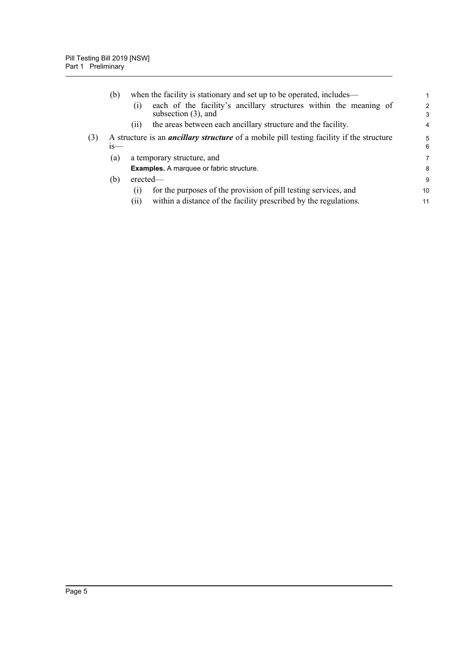|     | (b)    | when the facility is stationary and set up to be operated, includes—                               | 1                   |
|-----|--------|----------------------------------------------------------------------------------------------------|---------------------|
|     |        | each of the facility's ancillary structures within the meaning of<br>(1)<br>subsection $(3)$ , and | $\overline{2}$<br>3 |
|     |        | the areas between each ancillary structure and the facility.<br>(11)                               | $\overline{4}$      |
| (3) | $1S$ — | A structure is an <i>ancillary structure</i> of a mobile pill testing facility if the structure    | 5<br>6              |
|     | (a)    | a temporary structure, and                                                                         | 7                   |
|     |        | <b>Examples.</b> A marquee or fabric structure.                                                    | 8                   |
|     | (b)    | $e$ rected—                                                                                        | 9                   |
|     |        | for the purposes of the provision of pill testing services, and<br>(1)                             | 10                  |
|     |        | within a distance of the facility prescribed by the regulations.<br>(11)                           | 11                  |
|     |        |                                                                                                    |                     |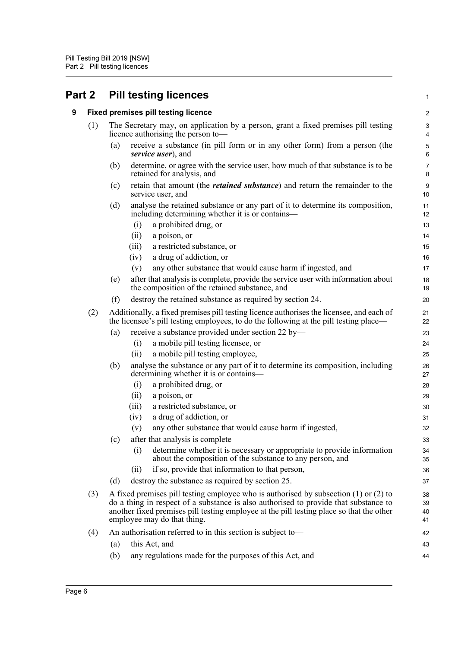<span id="page-9-1"></span><span id="page-9-0"></span>

|   | Part 2 |     | <b>Pill testing licences</b><br>1                                                                                                                                                                                                                                                                           |                        |  |  |
|---|--------|-----|-------------------------------------------------------------------------------------------------------------------------------------------------------------------------------------------------------------------------------------------------------------------------------------------------------------|------------------------|--|--|
| 9 |        |     | <b>Fixed premises pill testing licence</b>                                                                                                                                                                                                                                                                  | $\overline{c}$         |  |  |
|   | (1)    |     | The Secretary may, on application by a person, grant a fixed premises pill testing<br>licence authorising the person to-                                                                                                                                                                                    | 3<br>4                 |  |  |
|   |        | (a) | receive a substance (in pill form or in any other form) from a person (the<br>service user), and                                                                                                                                                                                                            | 5<br>6                 |  |  |
|   |        | (b) | determine, or agree with the service user, how much of that substance is to be<br>retained for analysis, and                                                                                                                                                                                                | $\overline{7}$<br>8    |  |  |
|   |        | (c) | retain that amount (the <i>retained substance</i> ) and return the remainder to the<br>service user, and                                                                                                                                                                                                    | $\boldsymbol{9}$<br>10 |  |  |
|   |        | (d) | analyse the retained substance or any part of it to determine its composition,<br>including determining whether it is or contains—                                                                                                                                                                          | 11<br>12               |  |  |
|   |        |     | a prohibited drug, or<br>(i)                                                                                                                                                                                                                                                                                | 13                     |  |  |
|   |        |     | (ii)<br>a poison, or                                                                                                                                                                                                                                                                                        | 14                     |  |  |
|   |        |     | a restricted substance, or<br>(iii)                                                                                                                                                                                                                                                                         | 15                     |  |  |
|   |        |     | a drug of addiction, or<br>(iv)                                                                                                                                                                                                                                                                             | 16                     |  |  |
|   |        |     | any other substance that would cause harm if ingested, and<br>(v)                                                                                                                                                                                                                                           | 17                     |  |  |
|   |        | (e) | after that analysis is complete, provide the service user with information about<br>the composition of the retained substance, and                                                                                                                                                                          | 18<br>19               |  |  |
|   |        | (f) | destroy the retained substance as required by section 24.                                                                                                                                                                                                                                                   | 20                     |  |  |
|   | (2)    |     | Additionally, a fixed premises pill testing licence authorises the licensee, and each of<br>the licensee's pill testing employees, to do the following at the pill testing place—                                                                                                                           | 21<br>22               |  |  |
|   |        | (a) | receive a substance provided under section 22 by-                                                                                                                                                                                                                                                           | 23                     |  |  |
|   |        |     | a mobile pill testing licensee, or<br>(i)                                                                                                                                                                                                                                                                   | 24                     |  |  |
|   |        |     | a mobile pill testing employee,<br>(ii)                                                                                                                                                                                                                                                                     | 25                     |  |  |
|   |        | (b) | analyse the substance or any part of it to determine its composition, including<br>determining whether it is or contains-                                                                                                                                                                                   | 26<br>27               |  |  |
|   |        |     | a prohibited drug, or<br>(i)                                                                                                                                                                                                                                                                                | 28                     |  |  |
|   |        |     | a poison, or<br>(ii)                                                                                                                                                                                                                                                                                        | 29                     |  |  |
|   |        |     | a restricted substance, or<br>(iii)                                                                                                                                                                                                                                                                         | 30                     |  |  |
|   |        |     | a drug of addiction, or<br>(iv)                                                                                                                                                                                                                                                                             | 31                     |  |  |
|   |        |     | (v)<br>any other substance that would cause harm if ingested,                                                                                                                                                                                                                                               | 32                     |  |  |
|   |        | (c) | after that analysis is complete—                                                                                                                                                                                                                                                                            | 33                     |  |  |
|   |        |     | determine whether it is necessary or appropriate to provide information<br>(i)<br>about the composition of the substance to any person, and                                                                                                                                                                 | 34<br>35               |  |  |
|   |        |     | if so, provide that information to that person,<br>(ii)                                                                                                                                                                                                                                                     | 36                     |  |  |
|   |        | (d) | destroy the substance as required by section 25.                                                                                                                                                                                                                                                            | 37                     |  |  |
|   | (3)    |     | A fixed premises pill testing employee who is authorised by subsection $(1)$ or $(2)$ to<br>do a thing in respect of a substance is also authorised to provide that substance to<br>another fixed premises pill testing employee at the pill testing place so that the other<br>employee may do that thing. | 38<br>39<br>40<br>41   |  |  |
|   | (4)    |     | An authorisation referred to in this section is subject to-                                                                                                                                                                                                                                                 | 42                     |  |  |
|   |        | (a) | this Act, and                                                                                                                                                                                                                                                                                               | 43                     |  |  |
|   |        | (b) | any regulations made for the purposes of this Act, and                                                                                                                                                                                                                                                      | 44                     |  |  |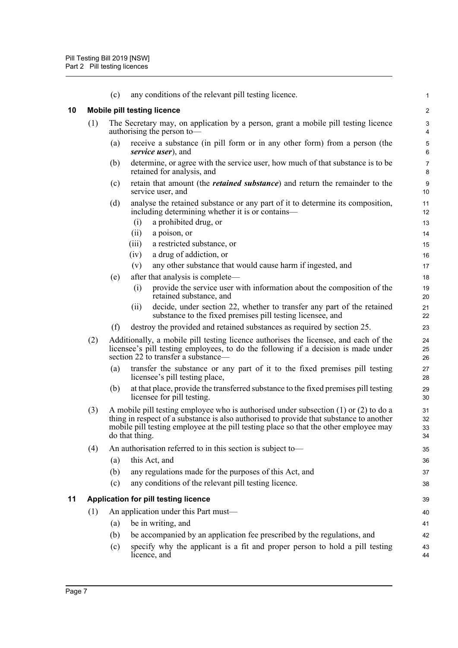<span id="page-10-1"></span><span id="page-10-0"></span>

|    |     | (c)                                                           | any conditions of the relevant pill testing licence.                                                                                                                                                                                                                                           | 1                                |  |  |  |
|----|-----|---------------------------------------------------------------|------------------------------------------------------------------------------------------------------------------------------------------------------------------------------------------------------------------------------------------------------------------------------------------------|----------------------------------|--|--|--|
| 10 |     | <b>Mobile pill testing licence</b><br>$\overline{\mathbf{c}}$ |                                                                                                                                                                                                                                                                                                |                                  |  |  |  |
|    | (1) |                                                               | The Secretary may, on application by a person, grant a mobile pill testing licence<br>authorising the person to-                                                                                                                                                                               | 3<br>4                           |  |  |  |
|    |     | (a)                                                           | receive a substance (in pill form or in any other form) from a person (the<br>service user), and                                                                                                                                                                                               | 5<br>6                           |  |  |  |
|    |     | (b)                                                           | determine, or agree with the service user, how much of that substance is to be<br>retained for analysis, and                                                                                                                                                                                   | $\overline{7}$<br>8              |  |  |  |
|    |     | (c)                                                           | retain that amount (the <i>retained substance</i> ) and return the remainder to the<br>service user, and                                                                                                                                                                                       | 9<br>10                          |  |  |  |
|    |     | (d)                                                           | analyse the retained substance or any part of it to determine its composition,<br>including determining whether it is or contains—<br>a prohibited drug, or<br>(i)<br>(ii)<br>a poison, or<br>(iii)<br>a restricted substance, or<br>a drug of addiction, or<br>(iv)                           | 11<br>12<br>13<br>14<br>15<br>16 |  |  |  |
|    |     |                                                               | any other substance that would cause harm if ingested, and<br>(v)                                                                                                                                                                                                                              | 17                               |  |  |  |
|    |     | (e)                                                           | after that analysis is complete—                                                                                                                                                                                                                                                               | 18                               |  |  |  |
|    |     |                                                               | (i)<br>provide the service user with information about the composition of the<br>retained substance, and                                                                                                                                                                                       | 19<br>20                         |  |  |  |
|    |     |                                                               | decide, under section 22, whether to transfer any part of the retained<br>(ii)<br>substance to the fixed premises pill testing licensee, and                                                                                                                                                   | 21<br>22                         |  |  |  |
|    |     | (f)                                                           | destroy the provided and retained substances as required by section 25.                                                                                                                                                                                                                        | 23                               |  |  |  |
|    | (2) |                                                               | Additionally, a mobile pill testing licence authorises the licensee, and each of the<br>licensee's pill testing employees, to do the following if a decision is made under<br>section 22 to transfer a substance—                                                                              | 24<br>25<br>26                   |  |  |  |
|    |     | (a)                                                           | transfer the substance or any part of it to the fixed premises pill testing<br>licensee's pill testing place,                                                                                                                                                                                  | 27<br>28                         |  |  |  |
|    |     | (b)                                                           | at that place, provide the transferred substance to the fixed premises pill testing<br>licensee for pill testing.                                                                                                                                                                              | 29<br>30                         |  |  |  |
|    | (3) |                                                               | A mobile pill testing employee who is authorised under subsection $(1)$ or $(2)$ to do a<br>thing in respect of a substance is also authorised to provide that substance to another<br>mobile pill testing employee at the pill testing place so that the other employee may<br>do that thing. | 31<br>32<br>33<br>34             |  |  |  |
|    | (4) |                                                               | An authorisation referred to in this section is subject to-                                                                                                                                                                                                                                    | 35                               |  |  |  |
|    |     | (a)                                                           | this Act, and                                                                                                                                                                                                                                                                                  | 36                               |  |  |  |
|    |     | (b)                                                           | any regulations made for the purposes of this Act, and                                                                                                                                                                                                                                         | 37                               |  |  |  |
|    |     | (c)                                                           | any conditions of the relevant pill testing licence.                                                                                                                                                                                                                                           | 38                               |  |  |  |
| 11 |     |                                                               | Application for pill testing licence                                                                                                                                                                                                                                                           | 39                               |  |  |  |
|    | (1) |                                                               | An application under this Part must—                                                                                                                                                                                                                                                           | 40                               |  |  |  |
|    |     | (a)                                                           | be in writing, and                                                                                                                                                                                                                                                                             | 41                               |  |  |  |
|    |     | (b)                                                           | be accompanied by an application fee prescribed by the regulations, and                                                                                                                                                                                                                        | 42                               |  |  |  |
|    |     | (c)                                                           | specify why the applicant is a fit and proper person to hold a pill testing<br>licence, and                                                                                                                                                                                                    | 43<br>44                         |  |  |  |
|    |     |                                                               |                                                                                                                                                                                                                                                                                                |                                  |  |  |  |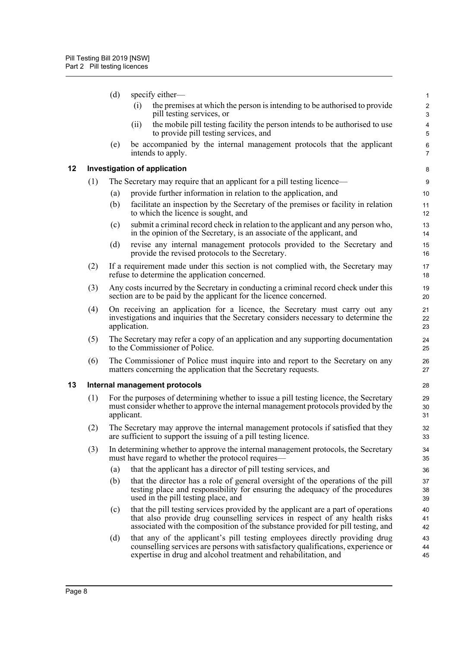<span id="page-11-1"></span><span id="page-11-0"></span>

|    |     | (d)        | specify either-                                                                                                                                                                                                                                    | 1                            |
|----|-----|------------|----------------------------------------------------------------------------------------------------------------------------------------------------------------------------------------------------------------------------------------------------|------------------------------|
|    |     |            | the premises at which the person is intending to be authorised to provide<br>(i)<br>pill testing services, or                                                                                                                                      | $\sqrt{2}$<br>$\sqrt{3}$     |
|    |     |            | the mobile pill testing facility the person intends to be authorised to use<br>(ii)<br>to provide pill testing services, and                                                                                                                       | $\overline{\mathbf{4}}$<br>5 |
|    |     | (e)        | be accompanied by the internal management protocols that the applicant<br>intends to apply.                                                                                                                                                        | 6<br>$\overline{7}$          |
| 12 |     |            | <b>Investigation of application</b>                                                                                                                                                                                                                | 8                            |
|    | (1) |            | The Secretary may require that an applicant for a pill testing licence—                                                                                                                                                                            | 9                            |
|    |     | (a)        | provide further information in relation to the application, and                                                                                                                                                                                    | 10                           |
|    |     | (b)        | facilitate an inspection by the Secretary of the premises or facility in relation<br>to which the licence is sought, and                                                                                                                           | 11<br>12                     |
|    |     | (c)        | submit a criminal record check in relation to the applicant and any person who,<br>in the opinion of the Secretary, is an associate of the applicant, and                                                                                          | 13<br>14                     |
|    |     | (d)        | revise any internal management protocols provided to the Secretary and<br>provide the revised protocols to the Secretary.                                                                                                                          | 15<br>16                     |
|    | (2) |            | If a requirement made under this section is not complied with, the Secretary may<br>refuse to determine the application concerned.                                                                                                                 | 17<br>18                     |
|    | (3) |            | Any costs incurred by the Secretary in conducting a criminal record check under this<br>section are to be paid by the applicant for the licence concerned.                                                                                         | 19<br>20                     |
|    | (4) |            | On receiving an application for a licence, the Secretary must carry out any<br>investigations and inquiries that the Secretary considers necessary to determine the<br>application.                                                                | 21<br>22<br>23               |
|    | (5) |            | The Secretary may refer a copy of an application and any supporting documentation<br>to the Commissioner of Police.                                                                                                                                | 24<br>25                     |
|    | (6) |            | The Commissioner of Police must inquire into and report to the Secretary on any<br>matters concerning the application that the Secretary requests.                                                                                                 | 26<br>27                     |
| 13 |     |            | Internal management protocols                                                                                                                                                                                                                      | 28                           |
|    | (1) | applicant. | For the purposes of determining whether to issue a pill testing licence, the Secretary<br>must consider whether to approve the internal management protocols provided by the                                                                       | 29<br>30<br>31               |
|    | (2) |            | The Secretary may approve the internal management protocols if satisfied that they<br>are sufficient to support the issuing of a pill testing licence.                                                                                             | 32<br>33                     |
|    | (3) |            | In determining whether to approve the internal management protocols, the Secretary<br>must have regard to whether the protocol requires—                                                                                                           | 34<br>35                     |
|    |     | (a)        | that the applicant has a director of pill testing services, and                                                                                                                                                                                    | 36                           |
|    |     | (b)        | that the director has a role of general oversight of the operations of the pill<br>testing place and responsibility for ensuring the adequacy of the procedures<br>used in the pill testing place, and                                             | 37<br>38<br>39               |
|    |     | (c)        | that the pill testing services provided by the applicant are a part of operations<br>that also provide drug counselling services in respect of any health risks<br>associated with the composition of the substance provided for pill testing, and | 40<br>41<br>42               |
|    |     | (d)        | that any of the applicant's pill testing employees directly providing drug<br>counselling services are persons with satisfactory qualifications, experience or<br>expertise in drug and alcohol treatment and rehabilitation, and                  | 43<br>44<br>45               |
|    |     |            |                                                                                                                                                                                                                                                    |                              |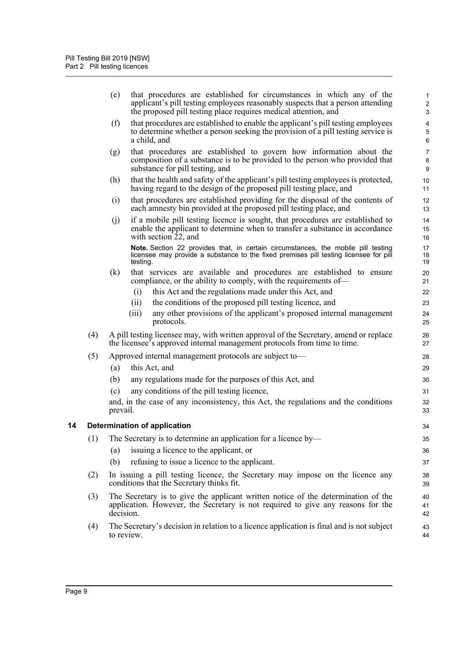<span id="page-12-0"></span>

|    |     | (e)        | that procedures are established for circumstances in which any of the<br>applicant's pill testing employees reasonably suspects that a person attending<br>the proposed pill testing place requires medical attention, and | 1<br>$\overline{\mathbf{c}}$<br>3 |
|----|-----|------------|----------------------------------------------------------------------------------------------------------------------------------------------------------------------------------------------------------------------------|-----------------------------------|
|    |     | (f)        | that procedures are established to enable the applicant's pill testing employees<br>to determine whether a person seeking the provision of a pill testing service is<br>a child, and                                       | 4<br>5<br>6                       |
|    |     | (g)        | that procedures are established to govern how information about the<br>composition of a substance is to be provided to the person who provided that<br>substance for pill testing, and                                     | 7<br>8<br>9                       |
|    |     | (h)        | that the health and safety of the applicant's pill testing employees is protected,<br>having regard to the design of the proposed pill testing place, and                                                                  | 10<br>11                          |
|    |     | (i)        | that procedures are established providing for the disposal of the contents of<br>each amnesty bin provided at the proposed pill testing place, and                                                                         | 12<br>13                          |
|    |     | (j)        | if a mobile pill testing licence is sought, that procedures are established to<br>enable the applicant to determine when to transfer a substance in accordance<br>with section 22, and                                     | 14<br>15<br>16                    |
|    |     |            | Note. Section 22 provides that, in certain circumstances, the mobile pill testing<br>licensee may provide a substance to the fixed premises pill testing licensee for pill<br>testing.                                     | 17<br>18<br>19                    |
|    |     | (k)        | that services are available and procedures are established to ensure<br>compliance, or the ability to comply, with the requirements of—                                                                                    | 20<br>21                          |
|    |     |            | this Act and the regulations made under this Act, and<br>(i)                                                                                                                                                               | 22                                |
|    |     |            | the conditions of the proposed pill testing licence, and<br>(ii)                                                                                                                                                           | 23                                |
|    |     |            | any other provisions of the applicant's proposed internal management<br>(iii)<br>protocols.                                                                                                                                | 24<br>25                          |
|    | (4) |            | A pill testing licensee may, with written approval of the Secretary, amend or replace<br>the licensee's approved internal management protocols from time to time.                                                          | 26<br>27                          |
|    | (5) |            | Approved internal management protocols are subject to-                                                                                                                                                                     | 28                                |
|    |     | (a)        | this Act, and                                                                                                                                                                                                              | 29                                |
|    |     | (b)        | any regulations made for the purposes of this Act, and                                                                                                                                                                     | 30                                |
|    |     | (c)        | any conditions of the pill testing licence,                                                                                                                                                                                | 31                                |
|    |     | prevail.   | and, in the case of any inconsistency, this Act, the regulations and the conditions                                                                                                                                        | 32<br>33                          |
| 14 |     |            | Determination of application                                                                                                                                                                                               | 34                                |
|    | (1) |            | The Secretary is to determine an application for a licence by-                                                                                                                                                             | 35                                |
|    |     | (a)        | issuing a licence to the applicant, or                                                                                                                                                                                     | 36                                |
|    |     | (b)        | refusing to issue a licence to the applicant.                                                                                                                                                                              | 37                                |
|    | (2) |            | In issuing a pill testing licence, the Secretary may impose on the licence any<br>conditions that the Secretary thinks fit.                                                                                                | 38<br>39                          |
|    | (3) | decision.  | The Secretary is to give the applicant written notice of the determination of the<br>application. However, the Secretary is not required to give any reasons for the                                                       | 40<br>41<br>42                    |
|    | (4) | to review. | The Secretary's decision in relation to a licence application is final and is not subject                                                                                                                                  | 43<br>44                          |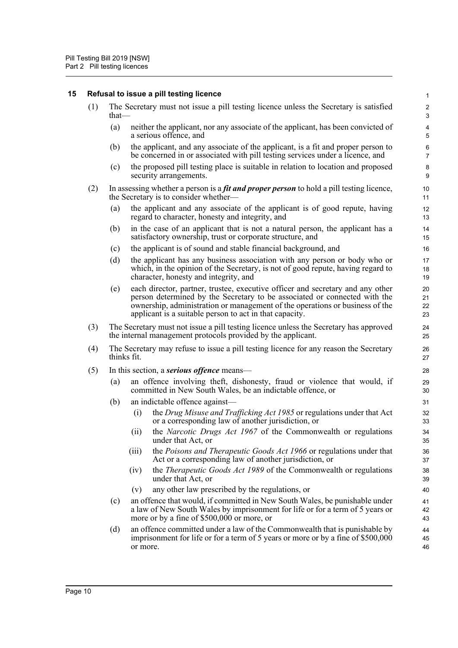### <span id="page-13-0"></span>**15 Refusal to issue a pill testing licence**

| (1) The Secretary must not issue a pill testing licence unless the Secretary is satisfied<br>that— |
|----------------------------------------------------------------------------------------------------|
| (a) a substitute that condition to an energie of the second condition to be a home constituted of  |

- (a) neither the applicant, nor any associate of the applicant, has been convicted of a serious offence, and
- (b) the applicant, and any associate of the applicant, is a fit and proper person to be concerned in or associated with pill testing services under a licence, and
- (c) the proposed pill testing place is suitable in relation to location and proposed security arrangements.
- (2) In assessing whether a person is a *fit and proper person* to hold a pill testing licence, the Secretary is to consider whether—
	- (a) the applicant and any associate of the applicant is of good repute, having regard to character, honesty and integrity, and
	- (b) in the case of an applicant that is not a natural person, the applicant has a satisfactory ownership, trust or corporate structure, and
	- (c) the applicant is of sound and stable financial background, and
	- (d) the applicant has any business association with any person or body who or which, in the opinion of the Secretary, is not of good repute, having regard to character, honesty and integrity, and
	- (e) each director, partner, trustee, executive officer and secretary and any other person determined by the Secretary to be associated or connected with the ownership, administration or management of the operations or business of the applicant is a suitable person to act in that capacity.
- (3) The Secretary must not issue a pill testing licence unless the Secretary has approved the internal management protocols provided by the applicant.
- (4) The Secretary may refuse to issue a pill testing licence for any reason the Secretary thinks fit.
- (5) In this section, a *serious offence* means—
	- (a) an offence involving theft, dishonesty, fraud or violence that would, if committed in New South Wales, be an indictable offence, or
	- (b) an indictable offence against—
		- (i) the *Drug Misuse and Trafficking Act 1985* or regulations under that Act or a corresponding law of another jurisdiction, or
		- (ii) the *Narcotic Drugs Act 1967* of the Commonwealth or regulations under that Act, or
		- (iii) the *Poisons and Therapeutic Goods Act 1966* or regulations under that Act or a corresponding law of another jurisdiction, or
		- (iv) the *Therapeutic Goods Act 1989* of the Commonwealth or regulations under that Act, or
		- (v) any other law prescribed by the regulations, or
	- (c) an offence that would, if committed in New South Wales, be punishable under a law of New South Wales by imprisonment for life or for a term of 5 years or more or by a fine of \$500,000 or more, or
	- (d) an offence committed under a law of the Commonwealth that is punishable by imprisonment for life or for a term of 5 years or more or by a fine of \$500,000 or more.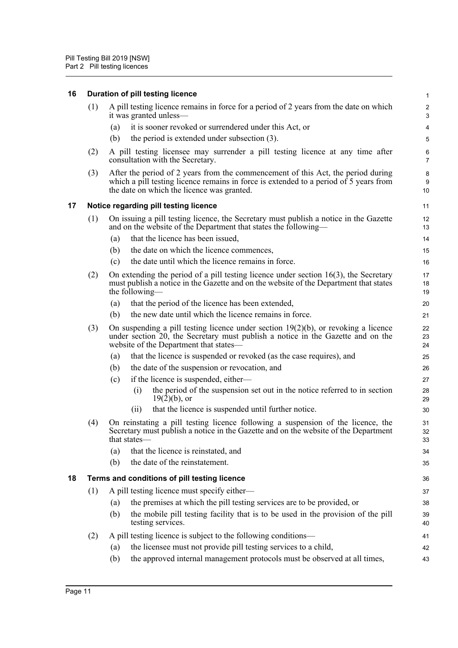<span id="page-14-2"></span><span id="page-14-1"></span><span id="page-14-0"></span>

| 16 |     | Duration of pill testing licence                                                                                                                                                                                        | 1                            |
|----|-----|-------------------------------------------------------------------------------------------------------------------------------------------------------------------------------------------------------------------------|------------------------------|
|    | (1) | A pill testing licence remains in force for a period of 2 years from the date on which<br>it was granted unless—                                                                                                        | $\overline{\mathbf{c}}$<br>3 |
|    |     | it is sooner revoked or surrendered under this Act, or<br>(a)                                                                                                                                                           | 4                            |
|    |     | the period is extended under subsection (3).<br>(b)                                                                                                                                                                     | 5                            |
|    | (2) | A pill testing licensee may surrender a pill testing licence at any time after<br>consultation with the Secretary.                                                                                                      | 6<br>7                       |
|    | (3) | After the period of 2 years from the commencement of this Act, the period during<br>which a pill testing licence remains in force is extended to a period of 5 years from<br>the date on which the licence was granted. | 8<br>9<br>10                 |
| 17 |     | Notice regarding pill testing licence                                                                                                                                                                                   | 11                           |
|    | (1) | On issuing a pill testing licence, the Secretary must publish a notice in the Gazette<br>and on the website of the Department that states the following—                                                                | 12<br>13                     |
|    |     | that the licence has been issued,<br>(a)                                                                                                                                                                                | 14                           |
|    |     | the date on which the licence commences,<br>(b)                                                                                                                                                                         | 15                           |
|    |     | the date until which the licence remains in force.<br>(c)                                                                                                                                                               | 16                           |
|    | (2) | On extending the period of a pill testing licence under section $16(3)$ , the Secretary<br>must publish a notice in the Gazette and on the website of the Department that states<br>the following—                      | 17<br>18<br>19               |
|    |     | that the period of the licence has been extended,<br>(a)                                                                                                                                                                | 20                           |
|    |     | the new date until which the licence remains in force.<br>(b)                                                                                                                                                           | 21                           |
|    | (3) | On suspending a pill testing licence under section $19(2)(b)$ , or revoking a licence<br>under section 20, the Secretary must publish a notice in the Gazette and on the<br>website of the Department that states—      | 22<br>23<br>24               |
|    |     | that the licence is suspended or revoked (as the case requires), and<br>(a)                                                                                                                                             | 25                           |
|    |     | the date of the suspension or revocation, and<br>(b)                                                                                                                                                                    | 26                           |
|    |     | if the licence is suspended, either—<br>(c)                                                                                                                                                                             | 27                           |
|    |     | the period of the suspension set out in the notice referred to in section<br>(i)<br>$19(2)(b)$ , or                                                                                                                     | 28<br>29                     |
|    |     | that the licence is suspended until further notice.<br>(ii)                                                                                                                                                             | 30                           |
|    | (4) | On reinstating a pill testing licence following a suspension of the licence, the<br>Secretary must publish a notice in the Gazette and on the website of the Department<br>that states—                                 | 31<br>32<br>33               |
|    |     | (a)<br>that the licence is reinstated, and                                                                                                                                                                              | 34                           |
|    |     | the date of the reinstatement.<br>(b)                                                                                                                                                                                   | 35                           |
| 18 |     | Terms and conditions of pill testing licence                                                                                                                                                                            | 36                           |
|    | (1) | A pill testing licence must specify either—                                                                                                                                                                             | 37                           |
|    |     | the premises at which the pill testing services are to be provided, or<br>(a)                                                                                                                                           | 38                           |
|    |     | the mobile pill testing facility that is to be used in the provision of the pill<br>(b)<br>testing services.                                                                                                            | 39<br>40                     |
|    | (2) | A pill testing licence is subject to the following conditions—                                                                                                                                                          | 41                           |
|    |     | the licensee must not provide pill testing services to a child,<br>(a)                                                                                                                                                  | 42                           |
|    |     | the approved internal management protocols must be observed at all times,<br>(b)                                                                                                                                        | 43                           |
|    |     |                                                                                                                                                                                                                         |                              |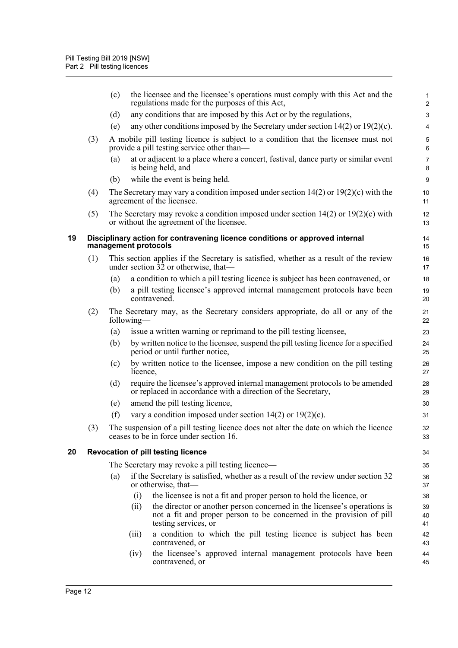<span id="page-15-1"></span><span id="page-15-0"></span>

|    |     | (c) |                      | the licensee and the licensee's operations must comply with this Act and the<br>regulations made for the purposes of this Act,                                           | 1<br>$\overline{\mathbf{c}}$ |
|----|-----|-----|----------------------|--------------------------------------------------------------------------------------------------------------------------------------------------------------------------|------------------------------|
|    |     | (d) |                      | any conditions that are imposed by this Act or by the regulations,                                                                                                       | 3                            |
|    |     | (e) |                      | any other conditions imposed by the Secretary under section $14(2)$ or $19(2)(c)$ .                                                                                      | 4                            |
|    | (3) |     |                      | A mobile pill testing licence is subject to a condition that the licensee must not<br>provide a pill testing service other than—                                         | 5<br>6                       |
|    |     | (a) |                      | at or adjacent to a place where a concert, festival, dance party or similar event<br>is being held, and                                                                  | 7<br>8                       |
|    |     | (b) |                      | while the event is being held.                                                                                                                                           | 9                            |
|    | (4) |     |                      | The Secretary may vary a condition imposed under section $14(2)$ or $19(2)(c)$ with the<br>agreement of the licensee.                                                    | 10<br>11                     |
|    | (5) |     |                      | The Secretary may revoke a condition imposed under section $14(2)$ or $19(2)(c)$ with<br>or without the agreement of the licensee.                                       | 12<br>13                     |
| 19 |     |     | management protocols | Disciplinary action for contravening licence conditions or approved internal                                                                                             | 14<br>15                     |
|    | (1) |     |                      | This section applies if the Secretary is satisfied, whether as a result of the review<br>under section $3\overline{2}$ or otherwise, that—                               | 16<br>17                     |
|    |     | (a) |                      | a condition to which a pill testing licence is subject has been contravened, or                                                                                          | 18                           |
|    |     | (b) |                      | a pill testing licensee's approved internal management protocols have been<br>contravened.                                                                               | 19<br>20                     |
|    | (2) |     | following—           | The Secretary may, as the Secretary considers appropriate, do all or any of the                                                                                          | 21<br>22                     |
|    |     | (a) |                      | issue a written warning or reprimand to the pill testing licensee,                                                                                                       | 23                           |
|    |     | (b) |                      | by written notice to the licensee, suspend the pill testing licence for a specified<br>period or until further notice,                                                   | 24<br>25                     |
|    |     | (c) | licence,             | by written notice to the licensee, impose a new condition on the pill testing                                                                                            | 26<br>27                     |
|    |     | (d) |                      | require the licensee's approved internal management protocols to be amended<br>or replaced in accordance with a direction of the Secretary,                              | 28<br>29                     |
|    |     | (e) |                      | amend the pill testing licence,                                                                                                                                          | 30                           |
|    |     | (f) |                      | vary a condition imposed under section $14(2)$ or $19(2)(c)$ .                                                                                                           | 31                           |
|    | (3) |     |                      | The suspension of a pill testing licence does not alter the date on which the licence<br>ceases to be in force under section 16.                                         | 32<br>33                     |
| 20 |     |     |                      | <b>Revocation of pill testing licence</b>                                                                                                                                | 34                           |
|    |     |     |                      | The Secretary may revoke a pill testing licence—                                                                                                                         | 35                           |
|    |     | (a) |                      | if the Secretary is satisfied, whether as a result of the review under section 32<br>or otherwise, that—                                                                 | 36<br>37                     |
|    |     |     | (i)                  | the licensee is not a fit and proper person to hold the licence, or                                                                                                      | 38                           |
|    |     |     | (ii)                 | the director or another person concerned in the licensee's operations is<br>not a fit and proper person to be concerned in the provision of pill<br>testing services, or | 39<br>40<br>41               |
|    |     |     | (iii)                | a condition to which the pill testing licence is subject has been<br>contravened, or                                                                                     | 42<br>43                     |
|    |     |     | (iv)                 | the licensee's approved internal management protocols have been<br>contravened, or                                                                                       | 44<br>45                     |
|    |     |     |                      |                                                                                                                                                                          |                              |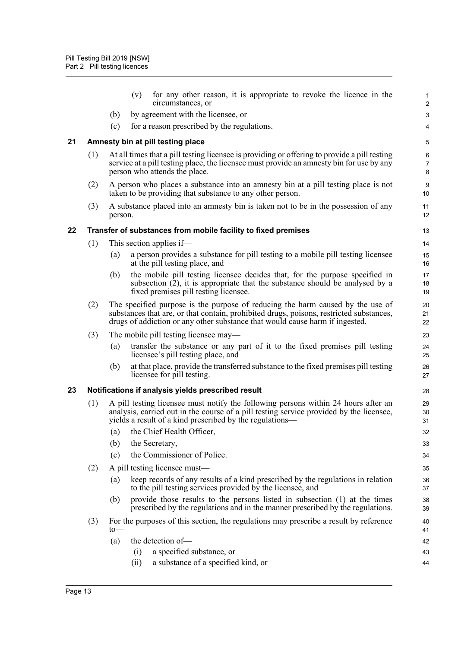<span id="page-16-2"></span><span id="page-16-1"></span><span id="page-16-0"></span>

|    |     |                                                                                                | for any other reason, it is appropriate to revoke the licence in the<br>(v)<br>circumstances, or                                                                                                                                                          | 1<br>$\overline{2}$ |  |  |  |
|----|-----|------------------------------------------------------------------------------------------------|-----------------------------------------------------------------------------------------------------------------------------------------------------------------------------------------------------------------------------------------------------------|---------------------|--|--|--|
|    |     | (b)                                                                                            | by agreement with the licensee, or                                                                                                                                                                                                                        | 3                   |  |  |  |
|    |     | (c)                                                                                            | for a reason prescribed by the regulations.                                                                                                                                                                                                               | 4                   |  |  |  |
| 21 |     |                                                                                                | Amnesty bin at pill testing place                                                                                                                                                                                                                         | $\mathbf 5$         |  |  |  |
|    | (1) |                                                                                                | At all times that a pill testing licensee is providing or offering to provide a pill testing<br>service at a pill testing place, the licensee must provide an amnesty bin for use by any<br>person who attends the place.                                 | 6<br>7<br>8         |  |  |  |
|    | (2) |                                                                                                | A person who places a substance into an amnesty bin at a pill testing place is not<br>taken to be providing that substance to any other person.                                                                                                           | 9<br>10             |  |  |  |
|    | (3) | A substance placed into an amnesty bin is taken not to be in the possession of any<br>person.  |                                                                                                                                                                                                                                                           |                     |  |  |  |
| 22 |     |                                                                                                | Transfer of substances from mobile facility to fixed premises                                                                                                                                                                                             | 13                  |  |  |  |
|    | (1) |                                                                                                | This section applies if—                                                                                                                                                                                                                                  | 14                  |  |  |  |
|    |     | (a)                                                                                            | a person provides a substance for pill testing to a mobile pill testing licensee<br>at the pill testing place, and                                                                                                                                        | 15<br>16            |  |  |  |
|    |     | (b)                                                                                            | the mobile pill testing licensee decides that, for the purpose specified in<br>subsection (2), it is appropriate that the substance should be analysed by a<br>fixed premises pill testing licensee.                                                      | 17<br>18<br>19      |  |  |  |
|    | (2) |                                                                                                | The specified purpose is the purpose of reducing the harm caused by the use of<br>substances that are, or that contain, prohibited drugs, poisons, restricted substances,<br>drugs of addiction or any other substance that would cause harm if ingested. | 20<br>21<br>22      |  |  |  |
|    | (3) |                                                                                                | The mobile pill testing licensee may—                                                                                                                                                                                                                     | 23                  |  |  |  |
|    |     | (a)                                                                                            | transfer the substance or any part of it to the fixed premises pill testing<br>licensee's pill testing place, and                                                                                                                                         | 24<br>25            |  |  |  |
|    |     | (b)                                                                                            | at that place, provide the transferred substance to the fixed premises pill testing<br>licensee for pill testing.                                                                                                                                         | 26<br>27            |  |  |  |
| 23 |     | Notifications if analysis yields prescribed result                                             |                                                                                                                                                                                                                                                           |                     |  |  |  |
|    | (1) |                                                                                                | A pill testing licensee must notify the following persons within 24 hours after an<br>analysis, carried out in the course of a pill testing service provided by the licensee,<br>yields a result of a kind prescribed by the regulations—                 | 29<br>30<br>31      |  |  |  |
|    |     |                                                                                                | (a) the Chief Health Officer,                                                                                                                                                                                                                             | 32                  |  |  |  |
|    |     | (b)                                                                                            | the Secretary,                                                                                                                                                                                                                                            | 33                  |  |  |  |
|    |     | (c)                                                                                            | the Commissioner of Police.                                                                                                                                                                                                                               | 34                  |  |  |  |
|    | (2) |                                                                                                | A pill testing licensee must—                                                                                                                                                                                                                             | 35                  |  |  |  |
|    |     | (a)                                                                                            | keep records of any results of a kind prescribed by the regulations in relation<br>to the pill testing services provided by the licensee, and                                                                                                             | 36<br>37            |  |  |  |
|    |     | (b)                                                                                            | provide those results to the persons listed in subsection (1) at the times<br>prescribed by the regulations and in the manner prescribed by the regulations.                                                                                              | 38<br>39            |  |  |  |
|    | (3) | For the purposes of this section, the regulations may prescribe a result by reference<br>$to-$ |                                                                                                                                                                                                                                                           | 40<br>41            |  |  |  |
|    |     | (a)                                                                                            | the detection of-                                                                                                                                                                                                                                         | 42                  |  |  |  |
|    |     |                                                                                                | a specified substance, or<br>(i)                                                                                                                                                                                                                          | 43                  |  |  |  |
|    |     |                                                                                                | a substance of a specified kind, or<br>(ii)                                                                                                                                                                                                               | 44                  |  |  |  |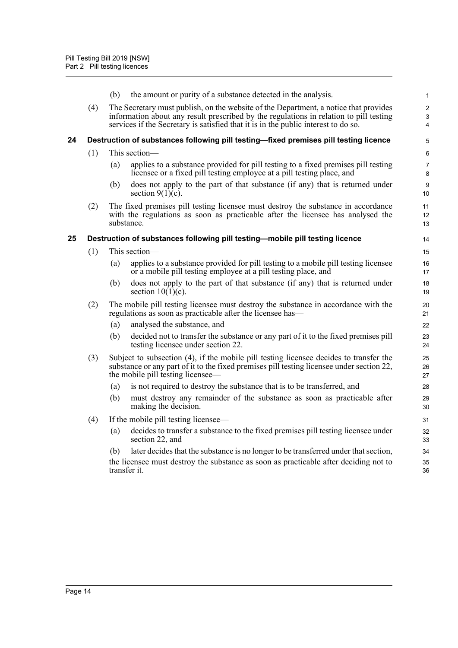<span id="page-17-1"></span><span id="page-17-0"></span>

|    |     | (b)                                                                                                                                                                                                                      | the amount or purity of a substance detected in the analysis.                                                                                                                                                                                                        | $\mathbf{1}$                       |
|----|-----|--------------------------------------------------------------------------------------------------------------------------------------------------------------------------------------------------------------------------|----------------------------------------------------------------------------------------------------------------------------------------------------------------------------------------------------------------------------------------------------------------------|------------------------------------|
|    | (4) |                                                                                                                                                                                                                          | The Secretary must publish, on the website of the Department, a notice that provides<br>information about any result prescribed by the regulations in relation to pill testing<br>services if the Secretary is satisfied that it is in the public interest to do so. | $\mathbf 2$<br>3<br>$\overline{4}$ |
| 24 |     |                                                                                                                                                                                                                          | Destruction of substances following pill testing-fixed premises pill testing licence                                                                                                                                                                                 | 5                                  |
|    | (1) |                                                                                                                                                                                                                          | This section-                                                                                                                                                                                                                                                        | 6                                  |
|    |     | (a)                                                                                                                                                                                                                      | applies to a substance provided for pill testing to a fixed premises pill testing<br>licensee or a fixed pill testing employee at a pill testing place, and                                                                                                          | 7<br>8                             |
|    |     | (b)                                                                                                                                                                                                                      | does not apply to the part of that substance (if any) that is returned under<br>section $9(1)(c)$ .                                                                                                                                                                  | 9<br>10                            |
|    | (2) | The fixed premises pill testing licensee must destroy the substance in accordance<br>with the regulations as soon as practicable after the licensee has analysed the<br>substance.                                       |                                                                                                                                                                                                                                                                      |                                    |
| 25 |     |                                                                                                                                                                                                                          | Destruction of substances following pill testing-mobile pill testing licence                                                                                                                                                                                         | 14                                 |
|    | (1) | This section—                                                                                                                                                                                                            |                                                                                                                                                                                                                                                                      |                                    |
|    |     | (a)                                                                                                                                                                                                                      | applies to a substance provided for pill testing to a mobile pill testing licensee<br>or a mobile pill testing employee at a pill testing place, and                                                                                                                 | 16<br>17                           |
|    |     | (b)                                                                                                                                                                                                                      | does not apply to the part of that substance (if any) that is returned under<br>section $10(1)(c)$ .                                                                                                                                                                 | 18<br>19                           |
|    | (2) | The mobile pill testing licensee must destroy the substance in accordance with the<br>regulations as soon as practicable after the licensee has-                                                                         |                                                                                                                                                                                                                                                                      |                                    |
|    |     | (a)                                                                                                                                                                                                                      | analysed the substance, and                                                                                                                                                                                                                                          | 22                                 |
|    |     | (b)                                                                                                                                                                                                                      | decided not to transfer the substance or any part of it to the fixed premises pill<br>testing licensee under section 22.                                                                                                                                             | 23<br>24                           |
|    | (3) | Subject to subsection (4), if the mobile pill testing licensee decides to transfer the<br>substance or any part of it to the fixed premises pill testing licensee under section 22,<br>the mobile pill testing licensee— |                                                                                                                                                                                                                                                                      | 25<br>26<br>27                     |
|    |     | (a)                                                                                                                                                                                                                      | is not required to destroy the substance that is to be transferred, and                                                                                                                                                                                              | 28                                 |
|    |     | (b)                                                                                                                                                                                                                      | must destroy any remainder of the substance as soon as practicable after<br>making the decision.                                                                                                                                                                     | 29<br>30                           |
|    | (4) |                                                                                                                                                                                                                          | If the mobile pill testing licensee—                                                                                                                                                                                                                                 | 31                                 |
|    |     | (a)                                                                                                                                                                                                                      | decides to transfer a substance to the fixed premises pill testing licensee under<br>section 22, and                                                                                                                                                                 | 32<br>33                           |
|    |     | (b)                                                                                                                                                                                                                      | later decides that the substance is no longer to be transferred under that section,                                                                                                                                                                                  | 34                                 |
|    |     |                                                                                                                                                                                                                          | the licensee must destroy the substance as soon as practicable after deciding not to<br>transfer it.                                                                                                                                                                 | 35<br>36                           |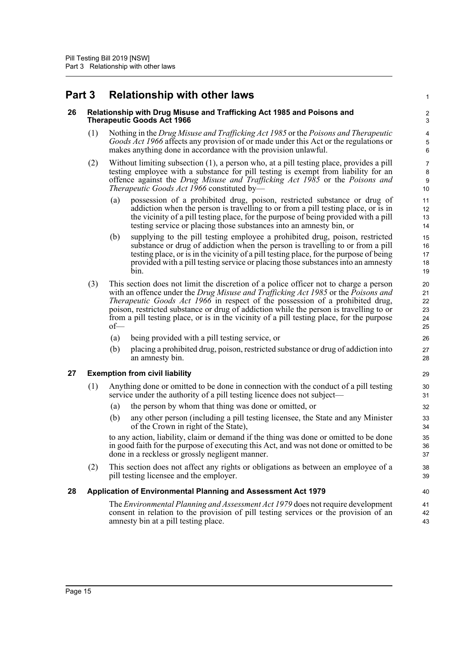## <span id="page-18-0"></span>**Part 3 Relationship with other laws**

### <span id="page-18-1"></span>**26 Relationship with Drug Misuse and Trafficking Act 1985 and Poisons and Therapeutic Goods Act 1966**

(1) Nothing in the *Drug Misuse and Trafficking Act 1985* or the *Poisons and Therapeutic Goods Act 1966* affects any provision of or made under this Act or the regulations or makes anything done in accordance with the provision unlawful.

1

40

- (2) Without limiting subsection (1), a person who, at a pill testing place, provides a pill testing employee with a substance for pill testing is exempt from liability for an offence against the *Drug Misuse and Trafficking Act 1985* or the *Poisons and Therapeutic Goods Act 1966* constituted by—
	- (a) possession of a prohibited drug, poison, restricted substance or drug of addiction when the person is travelling to or from a pill testing place, or is in the vicinity of a pill testing place, for the purpose of being provided with a pill testing service or placing those substances into an amnesty bin, or
	- (b) supplying to the pill testing employee a prohibited drug, poison, restricted substance or drug of addiction when the person is travelling to or from a pill testing place, or is in the vicinity of a pill testing place, for the purpose of being provided with a pill testing service or placing those substances into an amnesty bin.
- (3) This section does not limit the discretion of a police officer not to charge a person with an offence under the *Drug Misuse and Trafficking Act 1985* or the *Poisons and Therapeutic Goods Act 1966* in respect of the possession of a prohibited drug, poison, restricted substance or drug of addiction while the person is travelling to or from a pill testing place, or is in the vicinity of a pill testing place, for the purpose of—
	- (a) being provided with a pill testing service, or
	- (b) placing a prohibited drug, poison, restricted substance or drug of addiction into an amnesty bin.

## <span id="page-18-2"></span>**27 Exemption from civil liability**

- (1) Anything done or omitted to be done in connection with the conduct of a pill testing service under the authority of a pill testing licence does not subject—
	- (a) the person by whom that thing was done or omitted, or
	- (b) any other person (including a pill testing licensee, the State and any Minister of the Crown in right of the State),

to any action, liability, claim or demand if the thing was done or omitted to be done in good faith for the purpose of executing this Act, and was not done or omitted to be done in a reckless or grossly negligent manner.

(2) This section does not affect any rights or obligations as between an employee of a pill testing licensee and the employer.

## <span id="page-18-3"></span>**28 Application of Environmental Planning and Assessment Act 1979**

The *Environmental Planning and Assessment Act 1979* does not require development consent in relation to the provision of pill testing services or the provision of an amnesty bin at a pill testing place. 41 42 43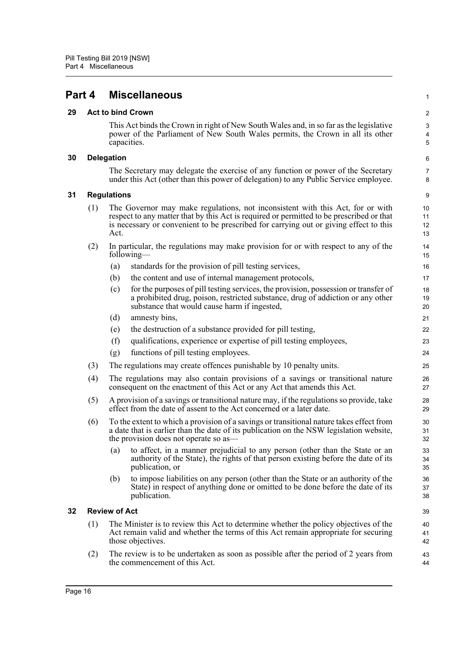<span id="page-19-0"></span>

| Part 4<br><b>Miscellaneous</b> |
|--------------------------------|
|--------------------------------|

## <span id="page-19-1"></span>**29 Act to bind Crown**

This Act binds the Crown in right of New South Wales and, in so far as the legislative power of the Parliament of New South Wales permits, the Crown in all its other capacities.

1

## <span id="page-19-2"></span>**30 Delegation**

The Secretary may delegate the exercise of any function or power of the Secretary under this Act (other than this power of delegation) to any Public Service employee.

### <span id="page-19-3"></span>**31 Regulations**

| (1) | The Governor may make regulations, not inconsistent with this Act, for or with                                                                                                    |
|-----|-----------------------------------------------------------------------------------------------------------------------------------------------------------------------------------|
|     | respect to any matter that by this Act is required or permitted to be prescribed or that<br>is necessary or convenient to be prescribed for carrying out or giving effect to this |
|     | Act.                                                                                                                                                                              |

- (2) In particular, the regulations may make provision for or with respect to any of the following—
	- (a) standards for the provision of pill testing services,
	- (b) the content and use of internal management protocols,
	- (c) for the purposes of pill testing services, the provision, possession or transfer of a prohibited drug, poison, restricted substance, drug of addiction or any other substance that would cause harm if ingested,
	- (d) amnesty bins,
	- (e) the destruction of a substance provided for pill testing,
	- (f) qualifications, experience or expertise of pill testing employees,
	- (g) functions of pill testing employees.
- (3) The regulations may create offences punishable by 10 penalty units.
- (4) The regulations may also contain provisions of a savings or transitional nature consequent on the enactment of this Act or any Act that amends this Act.
- (5) A provision of a savings or transitional nature may, if the regulations so provide, take effect from the date of assent to the Act concerned or a later date.
- (6) To the extent to which a provision of a savings or transitional nature takes effect from a date that is earlier than the date of its publication on the NSW legislation website, the provision does not operate so as—
	- (a) to affect, in a manner prejudicial to any person (other than the State or an authority of the State), the rights of that person existing before the date of its publication, or
	- (b) to impose liabilities on any person (other than the State or an authority of the State) in respect of anything done or omitted to be done before the date of its publication.

## <span id="page-19-4"></span>**32 Review of Act**

- (1) The Minister is to review this Act to determine whether the policy objectives of the Act remain valid and whether the terms of this Act remain appropriate for securing those objectives.
- (2) The review is to be undertaken as soon as possible after the period of 2 years from the commencement of this Act.